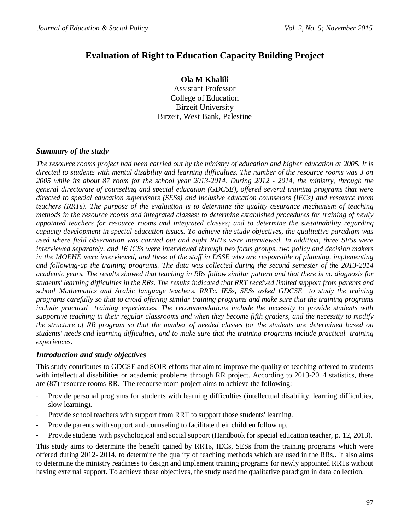# **Evaluation of Right to Education Capacity Building Project**

### **Ola M Khalili**

Assistant Professor College of Education Birzeit University Birzeit, West Bank, Palestine

## *Summary of the study*

*The resource rooms project had been carried out by the ministry of education and higher education at 2005. It is directed to students with mental disability and learning difficulties. The number of the resource rooms was 3 on 2005 while its about 87 room for the school year 2013-2014. During 2012 - 2014, the ministry, through the general directorate of counseling and special education (GDCSE), offered several training programs that were directed to special education supervisors (SESs) and inclusive education counselors (IECs) and resource room teachers (RRTs). The purpose of the evaluation is to determine the quality assurance mechanism of teaching methods in the resource rooms and integrated classes; to determine established procedures for training of newly appointed teachers for resource rooms and integrated classes; and to determine the sustainability regarding capacity development in special education issues. To achieve the study objectives, the qualitative paradigm was used where field observation was carried out and eight RRTs were interviewed. In addition, three SESs were interviewed separately, and 16 ICSs were interviewed through two focus groups, two policy and decision makers*  in the MOEHE were interviewed, and three of the staff in DSSE who are responsible of planning, implementing *and following-up the training programs. The data was collected during the second semester of the 2013-2014 academic years. The results showed that teaching in RRs follow similar pattern and that there is no diagnosis for students' learning difficulties in the RRs. The results indicated that RRT received limited support from parents and school Mathematics and Arabic language teachers. RRTc. IESs, SESs asked GDCSE to study the training programs carefully so that to avoid offering similar training programs and make sure that the training programs include practical training experiences. The recommendations include the necessity to provide students with supportive teaching in their regular classrooms and when they become fifth graders, and the necessity to modify the structure of RR program so that the number of needed classes for the students are determined based on students' needs and learning difficulties, and to make sure that the training programs include practical training experiences.*

### *Introduction and study objectives*

This study contributes to GDCSE and SOIR efforts that aim to improve the quality of teaching offered to students with intellectual disabilities or academic problems through RR project. According to 2013-2014 statistics, there are (87) resource rooms RR. The recourse room project aims to achieve the following:

- Provide personal programs for students with learning difficulties (intellectual disability, learning difficulties, slow learning).
- Provide school teachers with support from RRT to support those students' learning.
- Provide parents with support and counseling to facilitate their children follow up.
- Provide students with psychological and social support (Handbook for special education teacher, p. 12, 2013).

This study aims to determine the benefit gained by RRTs, IECs, SESs from the training programs which were offered during 2012- 2014, to determine the quality of teaching methods which are used in the RRs,. It also aims to determine the ministry readiness to design and implement training programs for newly appointed RRTs without having external support. To achieve these objectives, the study used the qualitative paradigm in data collection.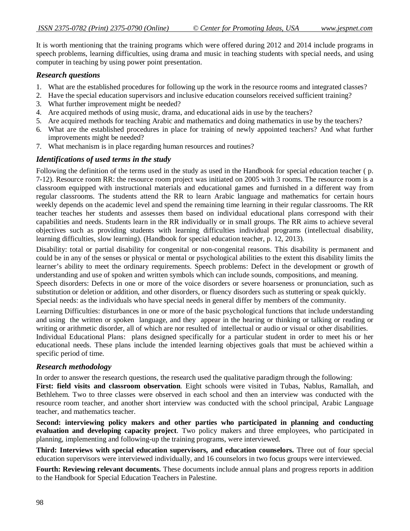It is worth mentioning that the training programs which were offered during 2012 and 2014 include programs in speech problems, learning difficulties, using drama and music in teaching students with special needs, and using computer in teaching by using power point presentation.

#### *Research questions*

- 1. What are the established procedures for following up the work in the resource rooms and integrated classes?
- 2. Have the special education supervisors and inclusive education counselors received sufficient training?
- 3. What further improvement might be needed?
- 4. Are acquired methods of using music, drama, and educational aids in use by the teachers?
- 5. Are acquired methods for teaching Arabic and mathematics and doing mathematics in use by the teachers?
- 6. What are the established procedures in place for training of newly appointed teachers? And what further improvements might be needed?
- 7. What mechanism is in place regarding human resources and routines?

### *Identifications of used terms in the study*

Following the definition of the terms used in the study as used in the Handbook for special education teacher ( p. 7-12). Resource room RR: the resource room project was initiated on 2005 with 3 rooms. The resource room is a classroom equipped with instructional materials and educational games and furnished in a different way from regular classrooms. The students attend the RR to learn Arabic language and mathematics for certain hours weekly depends on the academic level and spend the remaining time learning in their regular classrooms. The RR teacher teaches her students and assesses them based on individual educational plans correspond with their capabilities and needs. Students learn in the RR individually or in small groups. The RR aims to achieve several objectives such as providing students with learning difficulties individual programs (intellectual disability, learning difficulties, slow learning). (Handbook for special education teacher, p. 12, 2013).

Disability: total or partial disability for congenital or non-congenital reasons. This disability is permanent and could be in any of the senses or physical or mental or psychological abilities to the extent this disability limits the learner's ability to meet the ordinary requirements. Speech problems: Defect in the development or growth of understanding and use of spoken and written symbols which can include sounds, compositions, and meaning. Speech disorders: Defects in one or more of the voice disorders or severe hoarseness or pronunciation, such as substitution or deletion or addition, and other disorders, or fluency disorders such as stuttering or speak quickly. Special needs: as the individuals who have special needs in general differ by members of the community.

Learning Difficulties: disturbances in one or more of the basic psychological functions that include understanding and using the written or spoken language, and they appear in the hearing or thinking or talking or reading or writing or arithmetic disorder, all of which are nor resulted of intellectual or audio or visual or other disabilities. Individual Educational Plans: plans designed specifically for a particular student in order to meet his or her educational needs. These plans include the intended learning objectives goals that must be achieved within a specific period of time.

### *Research methodology*

In order to answer the research questions, the research used the qualitative paradigm through the following:

**First: field visits and classroom observation**. Eight schools were visited in Tubas, Nablus, Ramallah, and Bethlehem. Two to three classes were observed in each school and then an interview was conducted with the resource room teacher, and another short interview was conducted with the school principal, Arabic Language teacher, and mathematics teacher.

**Second: interviewing policy makers and other parties who participated in planning and conducting evaluation and developing capacity project**. Two policy makers and three employees, who participated in planning, implementing and following-up the training programs, were interviewed.

**Third: Interviews with special education supervisors, and education counselors.** Three out of four special education supervisors were interviewed individually, and 16 counselors in two focus groups were interviewed.

**Fourth: Reviewing relevant documents.** These documents include annual plans and progress reports in addition to the Handbook for Special Education Teachers in Palestine.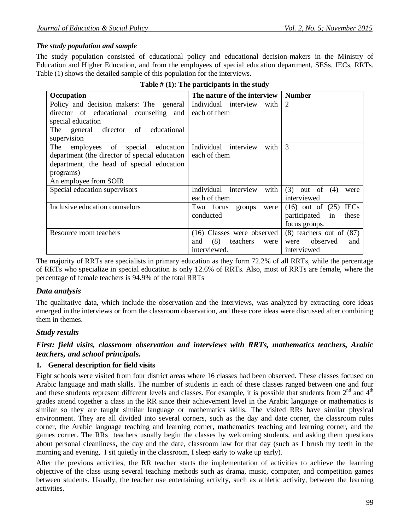## *The study population and sample*

The study population consisted of educational policy and educational decision-makers in the Ministry of Education and Higher Education, and from the employees of special education department, SESs, IECs, RRTs. Table (1) shows the detailed sample of this population for the interviews**.**

| Occupation                                    | The nature of the interview    | <b>Number</b>                       |
|-----------------------------------------------|--------------------------------|-------------------------------------|
| Policy and decision makers: The general       | Individual interview<br>with   | 2                                   |
| director of educational counseling and        | each of them                   |                                     |
| special education                             |                                |                                     |
| general director of<br>The<br>educational     |                                |                                     |
| supervision                                   |                                |                                     |
| employees of special<br>The<br>education      | Individual interview<br>with   | 3                                   |
| department (the director of special education | each of them                   |                                     |
| department, the head of special education     |                                |                                     |
| programs)                                     |                                |                                     |
| An employee from SOIR                         |                                |                                     |
| Special education supervisors                 | Individual interview<br>with   | $(3)$ out of $(4)$<br>were          |
|                                               | each of them                   | interviewed                         |
| Inclusive education counselors                | Two focus<br>groups<br>were    | <b>IECs</b><br>$(16)$ out of $(25)$ |
|                                               | conducted                      | participated<br>these<br>in         |
|                                               |                                | focus groups.                       |
| Resource room teachers                        | (16) Classes were observed     | $(8)$ teachers out of $(87)$        |
|                                               | (8)<br>teachers<br>and<br>were | observed<br>and<br>were             |
|                                               | interviewed.                   | interviewed                         |

|  | Table $#(1)$ : The participants in the study |  |  |
|--|----------------------------------------------|--|--|
|--|----------------------------------------------|--|--|

The majority of RRTs are specialists in primary education as they form 72.2% of all RRTs, while the percentage of RRTs who specialize in special education is only 12.6% of RRTs. Also, most of RRTs are female, where the percentage of female teachers is 94.9% of the total RRTs

## *Data analysis*

The qualitative data, which include the observation and the interviews, was analyzed by extracting core ideas emerged in the interviews or from the classroom observation, and these core ideas were discussed after combining them in themes.

## *Study results*

## *First: field visits, classroom observation and interviews with RRTs, mathematics teachers, Arabic teachers, and school principals.*

### **1. General description for field visits**

Eight schools were visited from four district areas where 16 classes had been observed. These classes focused on Arabic language and math skills. The number of students in each of these classes ranged between one and four and these students represent different levels and classes. For example, it is possible that students from  $2<sup>nd</sup>$  and  $4<sup>th</sup>$ grades attend together a class in the RR since their achievement level in the Arabic language or mathematics is similar so they are taught similar language or mathematics skills. The visited RRs have similar physical environment. They are all divided into several corners, such as the day and date corner, the classroom rules corner, the Arabic language teaching and learning corner, mathematics teaching and learning corner, and the games corner. The RRs teachers usually begin the classes by welcoming students, and asking them questions about personal cleanliness, the day and the date, classroom law for that day (such as I brush my teeth in the morning and evening, I sit quietly in the classroom, I sleep early to wake up early).

After the previous activities, the RR teacher starts the implementation of activities to achieve the learning objective of the class using several teaching methods such as drama, music, computer, and competition games between students. Usually, the teacher use entertaining activity, such as athletic activity, between the learning activities.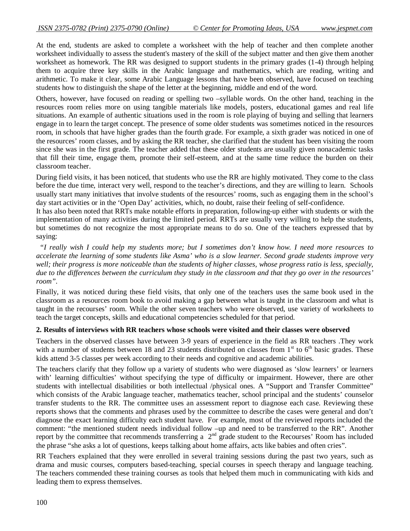At the end, students are asked to complete a worksheet with the help of teacher and then complete another worksheet individually to assess the student's mastery of the skill of the subject matter and then give them another worksheet as homework. The RR was designed to support students in the primary grades (1-4) through helping them to acquire three key skills in the Arabic language and mathematics, which are reading, writing and arithmetic. To make it clear, some Arabic Language lessons that have been observed, have focused on teaching students how to distinguish the shape of the letter at the beginning, middle and end of the word.

Others, however, have focused on reading or spelling two –syllable words. On the other hand, teaching in the resources room relies more on using tangible materials like models, posters, educational games and real life situations. An example of authentic situations used in the room is role playing of buying and selling that learners engage in to learn the target concept. The presence of some older students was sometimes noticed in the resources room, in schools that have higher grades than the fourth grade. For example, a sixth grader was noticed in one of the resources' room classes, and by asking the RR teacher, she clarified that the student has been visiting the room since she was in the first grade. The teacher added that these older students are usually given nonacademic tasks that fill their time, engage them, promote their self-esteem, and at the same time reduce the burden on their classroom teacher.

During field visits, it has been noticed, that students who use the RR are highly motivated. They come to the class before the due time, interact very well, respond to the teacher's directions, and they are willing to learn. Schools usually start many initiatives that involve students of the resources' rooms, such as engaging them in the school's day start activities or in the 'Open Day' activities, which, no doubt, raise their feeling of self-confidence.

It has also been noted that RRTs make notable efforts in preparation, following-up either with students or with the implementation of many activities during the limited period. RRTs are usually very willing to help the students, but sometimes do not recognize the most appropriate means to do so. One of the teachers expressed that by saying:

 *"I really wish I could help my students more; but I sometimes don't know how. I need more resources to accelerate the learning of some students like Asma' who is a slow learner. Second grade students improve very well; their progress is more noticeable than the students of higher classes, whose progress ratio is less, specially, due to the differences between the curriculum they study in the classroom and that they go over in the resources' room".*

Finally, it was noticed during these field visits, that only one of the teachers uses the same book used in the classroom as a resources room book to avoid making a gap between what is taught in the classroom and what is taught in the recourses' room. While the other seven teachers who were observed, use variety of worksheets to teach the target concepts, skills and educational competencies scheduled for that period.

#### **2. Results of interviews with RR teachers whose schools were visited and their classes were observed**

Teachers in the observed classes have between 3-9 years of experience in the field as RR teachers .They work with a number of students between 18 and 23 students distributed on classes from  $1<sup>st</sup>$  to  $6<sup>th</sup>$  basic grades. These kids attend 3-5 classes per week according to their needs and cognitive and academic abilities.

The teachers clarify that they follow up a variety of students who were diagnosed as 'slow learners' or learners with' learning difficulties' without specifying the type of difficulty or impairment. However, there are other students with intellectual disabilities or both intellectual /physical ones. A "Support and Transfer Committee" which consists of the Arabic language teacher, mathematics teacher, school principal and the students' counselor transfer students to the RR. The committee uses an assessment report to diagnose each case. Reviewing these reports shows that the comments and phrases used by the committee to describe the cases were general and don't diagnose the exact learning difficulty each student have. For example, most of the reviewed reports included the comment: "the mentioned student needs individual follow –up and need to be transferred to the RR". Another report by the committee that recommends transferring a  $2<sup>nd</sup>$  grade student to the Recourses' Room has included the phrase "she asks a lot of questions, keeps talking about home affairs, acts like babies and often cries".

RR Teachers explained that they were enrolled in several training sessions during the past two years, such as drama and music courses, computers based-teaching, special courses in speech therapy and language teaching. The teachers commended these training courses as tools that helped them much in communicating with kids and leading them to express themselves.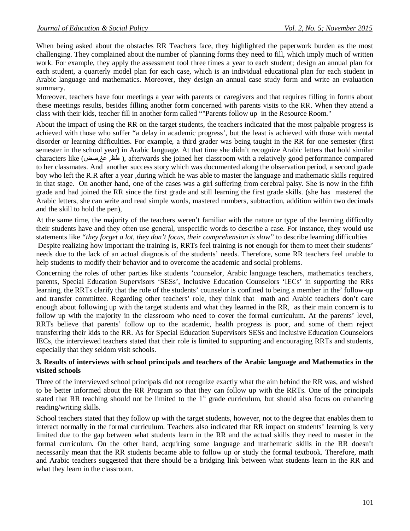When being asked about the obstacles RR Teachers face, they highlighted the paperwork burden as the most challenging. They complained about the number of planning forms they need to fill, which imply much of written work. For example, they apply the assessment tool three times a year to each student; design an annual plan for each student, a quarterly model plan for each case, which is an individual educational plan for each student in Arabic language and mathematics. Moreover, they design an annual case study form and write an evaluation summary.

Moreover, teachers have four meetings a year with parents or caregivers and that requires filling in forms about these meetings results, besides filling another form concerned with parents visits to the RR. When they attend a class with their kids, teacher fill in another form called ""Parents follow up in the Resource Room."

About the impact of using the RR on the target students, the teachers indicated that the most palpable progress is achieved with those who suffer "a delay in academic progress', but the least is achieved with those with mental disorder or learning difficulties. For example, a third grader was being taught in the RR for one semester (first semester in the school year) in Arabic language. At that time she didn't recognize Arabic letters that hold similar characters like (صض,عغ ,طظ( , afterwards she joined her classroom with a relatively good performance compared to her classmates. And another success story which was documented along the observation period, a second grade boy who left the R.R after a year ,during which he was able to master the language and mathematic skills required in that stage. On another hand, one of the cases was a girl suffering from cerebral palsy. She is now in the fifth grade and had joined the RR since the first grade and still learning the first grade skills. (she has mastered the Arabic letters, she can write and read simple words, mastered numbers, subtraction, addition within two decimals and the skill to hold the pen),

At the same time, the majority of the teachers weren't familiar with the nature or type of the learning difficulty their students have and they often use general, unspecific words to describe a case. For instance, they would use statements like *"they forget a lot, they don't focus, their comprehension is slow"* to describe learning difficulties Despite realizing how important the training is, RRTs feel training is not enough for them to meet their students' needs due to the lack of an actual diagnosis of the students' needs. Therefore, some RR teachers feel unable to help students to modify their behavior and to overcome the academic and social problems.

Concerning the roles of other parties like students 'counselor, Arabic language teachers, mathematics teachers, parents, Special Education Supervisors 'SESs', Inclusive Education Counselors 'IECs' in supporting the RRs learning, the RRTs clarify that the role of the students' counselor is confined to being a member in the' follow-up and transfer committee. Regarding other teachers' role, they think that math and Arabic teachers don't care enough about following up with the target students and what they learned in the RR, as their main concern is to follow up with the majority in the classroom who need to cover the formal curriculum. At the parents' level, RRTs believe that parents' follow up to the academic, health progress is poor, and some of them reject transferring their kids to the RR. As for Special Education Supervisors SESs and Inclusive Education Counselors IECs, the interviewed teachers stated that their role is limited to supporting and encouraging RRTs and students, especially that they seldom visit schools.

#### **3. Results of interviews with school principals and teachers of the Arabic language and Mathematics in the visited schools**

Three of the interviewed school principals did not recognize exactly what the aim behind the RR was, and wished to be better informed about the RR Program so that they can follow up with the RRTs. One of the principals stated that RR teaching should not be limited to the  $1<sup>st</sup>$  grade curriculum, but should also focus on enhancing reading/writing skills.

School teachers stated that they follow up with the target students, however, not to the degree that enables them to interact normally in the formal curriculum. Teachers also indicated that RR impact on students' learning is very limited due to the gap between what students learn in the RR and the actual skills they need to master in the formal curriculum. On the other hand, acquiring some language and mathematic skills in the RR doesn't necessarily mean that the RR students became able to follow up or study the formal textbook. Therefore, math and Arabic teachers suggested that there should be a bridging link between what students learn in the RR and what they learn in the classroom.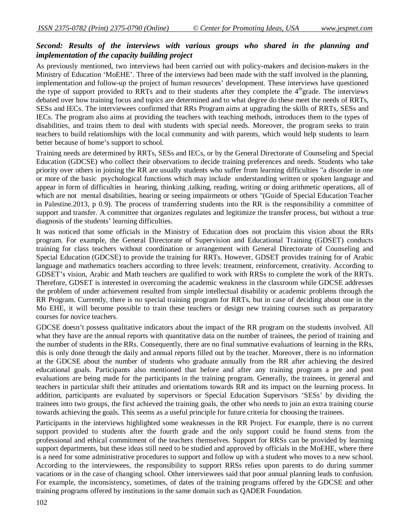## *Second: Results of the interviews with various groups who shared in the planning and implementation of the capacity building project*

As previously mentioned, two interviews had been carried out with policy-makers and decision-makers in the Ministry of Education 'MoEHE'. Three of the interviews had been made with the staff involved in the planning, implementation and follow-up the project of human resources' development. These interviews have questioned the type of support provided to RRTs and to their students after they complete the  $4<sup>th</sup>$ grade. The interviews debated over how training focus and topics are determined and to what degree do these meet the needs of RRTs, SESs and IECs. The interviewees confirmed that RRs Program aims at upgrading the skills of RRTs, SESs and IECs. The program also aims at providing the teachers with teaching methods, introduces them to the types of disabilities, and trains them to deal with students with special needs. Moreover, the program seeks to train teachers to build relationships with the local community and with parents, which would help students to learn better because of home's support to school.

Training needs are determined by RRTs, SESs and IECs, or by the General Directorate of Counseling and Special Education (GDCSE) who collect their observations to decide training preferences and needs. Students who take priority over others in joining the RR are usually students who suffer from learning difficulties "a disorder in one or more of the basic psychological functions which may include understanding written or spoken language and appear in form of difficulties in hearing, thinking ,talking, reading, writing or doing arithmetic operations, all of which are not mental disabilities, hearing or seeing impairments or others "(Guide of Special Education Teacher in Palestine.2013, p 0.9). The process of transferring students into the RR is the responsibility a committee of support and transfer. A committee that organizes regulates and legitimize the transfer process, but without a true diagnosis of the students' learning difficulties.

It was noticed that some officials in the Ministry of Education does not proclaim this vision about the RRs program. For example, the General Directorate of Supervision and Educational Training (GDSET) conducts training for class teachers without coordination or arrangement with General Directorate of Counseling and Special Education (GDCSE) to provide the training for RRTs. However, GDSET provides training for of Arabic language and mathematics teachers according to three levels: treatment, reinforcement, creativity. According to GDSET's vision, Arabic and Math teachers are qualified to work with RRSs to complete the work of the RRTs. Therefore, GDSET is interested in overcoming the academic weakness in the classroom while GDCSE addresses the problem of under achievement resulted from simple intellectual disability or academic problems through the RR Program. Currently, there is no special training program for RRTs, but in case of deciding about one in the Mo EHE, it will become possible to train these teachers or design new training courses such as preparatory courses for novice teachers.

GDCSE doesn't possess qualitative indicators about the impact of the RR program on the students involved. All what they have are the annual reports with quantitative data on the number of trainees, the period of training and the number of students in the RRs. Consequently, there are no final summative evaluations of learning in the RRs, this is only done through the daily and annual reports filled out by the teacher. Moreover, there is no information at the GDCSE about the number of students who graduate annually from the RR after achieving the desired educational goals. Participants also mentioned that before and after any training program a pre and post evaluations are being made for the participants in the training program. Generally, the trainees, in general and teachers in particular shift their attitudes and orientations towards RR and its impact on the learning process. In addition, participants are evaluated by supervisors or Special Education Supervisors 'SESs' by dividing the trainees into two groups, the first achieved the training goals, the other who needs to join an extra training course towards achieving the goals. This seems as a useful principle for future criteria for choosing the trainees.

Participants in the interviews highlighted some weaknesses in the RR Project. For example, there is no current support provided to students after the fourth grade and the only support could be found stems from the professional and ethical commitment of the teachers themselves. Support for RRSs can be provided by learning support departments, but these ideas still need to be studied and approved by officials in the MoEHE, where there is a need for some administrative procedures to support and follow up with a student who moves to a new school. According to the interviewees, the responsibility to support RRSs relies upon parents to do during summer vacations or in the case of changing school. Other interviewees said that poor annual planning leads to confusion. For example, the inconsistency, sometimes, of dates of the training programs offered by the GDCSE and other training programs offered by institutions in the same domain such as QADER Foundation.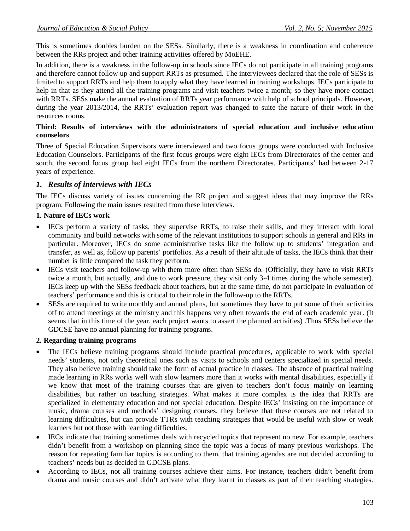This is sometimes doubles burden on the SESs. Similarly, there is a weakness in coordination and coherence between the RRs project and other training activities offered by MoEHE.

In addition, there is a weakness in the follow-up in schools since IECs do not participate in all training programs and therefore cannot follow up and support RRTs as presumed. The interviewees declared that the role of SESs is limited to support RRTs and help them to apply what they have learned in training workshops. IECs participate to help in that as they attend all the training programs and visit teachers twice a month; so they have more contact with RRTs. SESs make the annual evaluation of RRTs year performance with help of school principals. However, during the year 2013/2014, the RRTs' evaluation report was changed to suite the nature of their work in the resources rooms.

### **Third: Results of interviews with the administrators of special education and inclusive education counselors**.

Three of Special Education Supervisors were interviewed and two focus groups were conducted with Inclusive Education Counselors. Participants of the first focus groups were eight IECs from Directorates of the center and south, the second focus group had eight IECs from the northern Directorates. Participants' had between 2-17 years of experience.

## *1. Results of interviews with IECs*

The IECs discuss variety of issues concerning the RR project and suggest ideas that may improve the RRs program. Following the main issues resulted from these interviews.

### **1. Nature of IECs work**

- IECs perform a variety of tasks, they supervise RRTs, to raise their skills, and they interact with local community and build networks with some of the relevant institutions to support schools in general and RRs in particular. Moreover, IECs do some administrative tasks like the follow up to students' integration and transfer, as well as, follow up parents' portfolios. As a result of their altitude of tasks, the IECs think that their number is little compared the task they perform.
- IECs visit teachers and follow-up with them more often than SESs do. (Officially, they have to visit RRTs twice a month, but actually, and due to work pressure, they visit only 3-4 times during the whole semester). IECs keep up with the SESs feedback about teachers, but at the same time, do not participate in evaluation of teachers' performance and this is critical to their role in the follow-up to the RRTs.
- SESs are required to write monthly and annual plans, but sometimes they have to put some of their activities off to attend meetings at the ministry and this happens very often towards the end of each academic year. (It seems that in this time of the year, each project wants to assert the planned activities) .Thus SESs believe the GDCSE have no annual planning for training programs.

### **2. Regarding training programs**

- The IECs believe training programs should include practical procedures, applicable to work with special needs' students, not only theoretical ones such as visits to schools and centers specialized in special needs. They also believe training should take the form of actual practice in classes. The absence of practical training made learning in RRs works well with slow learners more than it works with mental disabilities, especially if we know that most of the training courses that are given to teachers don't focus mainly on learning disabilities, but rather on teaching strategies. What makes it more complex is the idea that RRTs are specialized in elementary education and not special education. Despite IECs' insisting on the importance of music, drama courses and methods' designing courses, they believe that these courses are not related to learning difficulties, but can provide TTRs with teaching strategies that would be useful with slow or weak learners but not those with learning difficulties.
- IECs indicate that training sometimes deals with recycled topics that represent no new. For example, teachers didn't benefit from a workshop on planning since the topic was a focus of many previous workshops. The reason for repeating familiar topics is according to them, that training agendas are not decided according to teachers' needs but as decided in GDCSE plans.
- According to IECs, not all training courses achieve their aims. For instance, teachers didn't benefit from drama and music courses and didn't activate what they learnt in classes as part of their teaching strategies.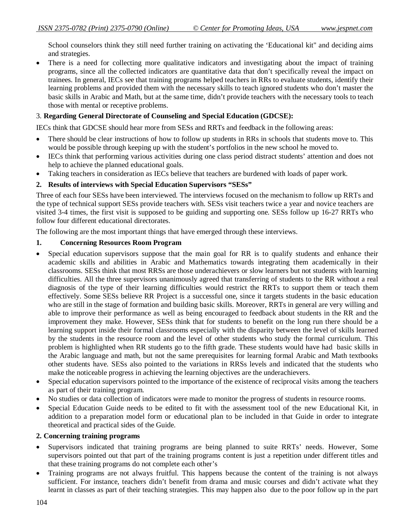School counselors think they still need further training on activating the 'Educational kit" and deciding aims and strategies.

• There is a need for collecting more qualitative indicators and investigating about the impact of training programs, since all the collected indicators are quantitative data that don't specifically reveal the impact on trainees. In general, IECs see that training programs helped teachers in RRs to evaluate students, identify their learning problems and provided them with the necessary skills to teach ignored students who don't master the basic skills in Arabic and Math, but at the same time, didn't provide teachers with the necessary tools to teach those with mental or receptive problems.

## 3. **Regarding General Directorate of Counseling and Special Education (GDCSE):**

IECs think that GDCSE should hear more from SESs and RRTs and feedback in the following areas:

- There should be clear instructions of how to follow up students in RRs in schools that students move to. This would be possible through keeping up with the student's portfolios in the new school he moved to.
- IECs think that performing various activities during one class period distract students' attention and does not help to achieve the planned educational goals.
- Taking teachers in consideration as IECs believe that teachers are burdened with loads of paper work.

#### **2. Results of interviews with Special Education Supervisors "SESs"**

Three of each four SESs have been interviewed. The interviews focused on the mechanism to follow up RRTs and the type of technical support SESs provide teachers with. SESs visit teachers twice a year and novice teachers are visited 3-4 times, the first visit is supposed to be guiding and supporting one. SESs follow up 16-27 RRTs who follow four different educational directorates.

The following are the most important things that have emerged through these interviews.

#### **1. Concerning Resources Room Program**

- Special education supervisors suppose that the main goal for RR is to qualify students and enhance their academic skills and abilities in Arabic and Mathematics towards integrating them academically in their classrooms. SESs think that most RRSs are those underachievers or slow learners but not students with learning difficulties. All the three supervisors unanimously agreed that transferring of students to the RR without a real diagnosis of the type of their learning difficulties would restrict the RRTs to support them or teach them effectively. Some SESs believe RR Project is a successful one, since it targets students in the basic education who are still in the stage of formation and building basic skills. Moreover, RRTs in general are very willing and able to improve their performance as well as being encouraged to feedback about students in the RR and the improvement they make. However, SESs think that for students to benefit on the long run there should be a learning support inside their formal classrooms especially with the disparity between the level of skills learned by the students in the resource room and the level of other students who study the formal curriculum. This problem is highlighted when RR students go to the fifth grade. These students would have had basic skills in the Arabic language and math, but not the same prerequisites for learning formal Arabic and Math textbooks other students have. SESs also pointed to the variations in RRSs levels and indicated that the students who make the noticeable progress in achieving the learning objectives are the underachievers.
- Special education supervisors pointed to the importance of the existence of reciprocal visits among the teachers as part of their training program.
- No studies or data collection of indicators were made to monitor the progress of students in resource rooms.
- Special Education Guide needs to be edited to fit with the assessment tool of the new Educational Kit, in addition to a preparation model form or educational plan to be included in that Guide in order to integrate theoretical and practical sides of the Guide.

#### **2. Concerning training programs**

- Supervisors indicated that training programs are being planned to suite RRTs' needs. However, Some supervisors pointed out that part of the training programs content is just a repetition under different titles and that these training programs do not complete each other's
- Training programs are not always fruitful. This happens because the content of the training is not always sufficient. For instance, teachers didn't benefit from drama and music courses and didn't activate what they learnt in classes as part of their teaching strategies. This may happen also due to the poor follow up in the part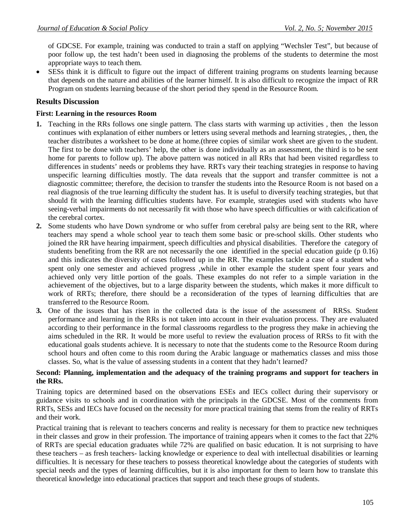of GDCSE. For example, training was conducted to train a staff on applying "Wechsler Test", but because of poor follow up, the test hadn't been used in diagnosing the problems of the students to determine the most appropriate ways to teach them.

 SESs think it is difficult to figure out the impact of different training programs on students learning because that depends on the nature and abilities of the learner himself. It is also difficult to recognize the impact of RR Program on students learning because of the short period they spend in the Resource Room.

## **Results Discussion**

#### **First: Learning in the resources Room**

- **1.** Teaching in the RRs follows one single pattern. The class starts with warming up activities , then the lesson continues with explanation of either numbers or letters using several methods and learning strategies, , then, the teacher distributes a worksheet to be done at home.(three copies of similar work sheet are given to the student. The first to be done with teachers' help, the other is done individually as an assessment, the third is to be sent home for parents to follow up). The above pattern was noticed in all RRs that had been visited regardless to differences in students' needs or problems they have. RRTs vary their teaching strategies in response to having unspecific learning difficulties mostly. The data reveals that the support and transfer committee is not a diagnostic committee; therefore, the decision to transfer the students into the Resource Room is not based on a real diagnosis of the true learning difficulty the student has. It is useful to diversify teaching strategies, but that should fit with the learning difficulties students have. For example, strategies used with students who have seeing-verbal impairments do not necessarily fit with those who have speech difficulties or with calcification of the cerebral cortex.
- **2.** Some students who have Down syndrome or who suffer from cerebral palsy are being sent to the RR, where teachers may spend a whole school year to teach them some basic or pre-school skills. Other students who joined the RR have hearing impairment, speech difficulties and physical disabilities. Therefore the category of students benefiting from the RR are not necessarily the one identified in the special education guide (p 0.16) and this indicates the diversity of cases followed up in the RR. The examples tackle a case of a student who spent only one semester and achieved progress ,while in other example the student spent four years and achieved only very little portion of the goals. These examples do not refer to a simple variation in the achievement of the objectives, but to a large disparity between the students, which makes it more difficult to work of RRTs; therefore, there should be a reconsideration of the types of learning difficulties that are transferred to the Resource Room.
- **3.** One of the issues that has risen in the collected data is the issue of the assessment of RRSs. Student performance and learning in the RRs is not taken into account in their evaluation process. They are evaluated according to their performance in the formal classrooms regardless to the progress they make in achieving the aims scheduled in the RR. It would be more useful to review the evaluation process of RRSs to fit with the educational goals students achieve. It is necessary to note that the students come to the Resource Room during school hours and often come to this room during the Arabic language or mathematics classes and miss those classes. So, what is the value of assessing students in a content that they hadn't learned?

#### **Second: Planning, implementation and the adequacy of the training programs and support for teachers in the RRs.**

Training topics are determined based on the observations ESEs and IECs collect during their supervisory or guidance visits to schools and in coordination with the principals in the GDCSE. Most of the comments from RRTs, SESs and IECs have focused on the necessity for more practical training that stems from the reality of RRTs and their work.

Practical training that is relevant to teachers concerns and reality is necessary for them to practice new techniques in their classes and grow in their profession. The importance of training appears when it comes to the fact that 22% of RRTs are special education graduates while 72% are qualified on basic education. It is not surprising to have these teachers – as fresh teachers- lacking knowledge or experience to deal with intellectual disabilities or learning difficulties. It is necessary for these teachers to possess theoretical knowledge about the categories of students with special needs and the types of learning difficulties, but it is also important for them to learn how to translate this theoretical knowledge into educational practices that support and teach these groups of students.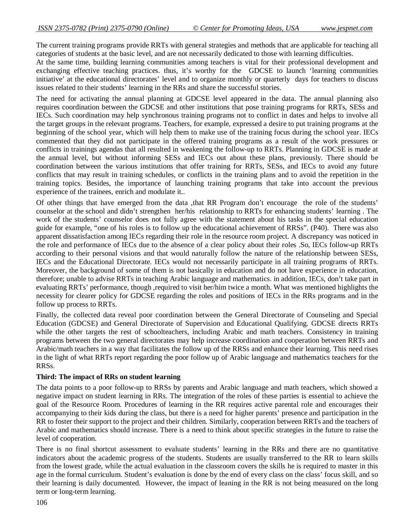The current training programs provide RRTs with general strategies and methods that are applicable for teaching all categories of students at the basic level, and are not necessarily dedicated to those with learning difficulties.

At the same time, building learning communities among teachers is vital for their professional development and exchanging effective teaching practices. thus, it's worthy for the GDCSE to launch 'learning communities initiative' at the educational directorates' level and to organize monthly or quarterly days for teachers to discuss issues related to their students' learning in the RRs and share the successful stories.

The need for activating the annual planning at GDCSE level appeared in the data. The annual planning also requires coordination between the GDCSE and other institutions that pose training programs for RRTs, SESs and IECs. Such coordination may help synchronous training programs not to conflict in dates and helps to involve all the target groups in the relevant programs. Teachers, for example, expressed a desire to put training programs at the beginning of the school year, which will help them to make use of the training focus during the school year. IECs commented that they did not participate in the offered training programs as a result of the work pressures or conflicts in trainings agendas that all resulted in weakening the follow-up to RRTs. Planning in GDCSE is made at the annual level, but without informing SESs and IECs out about these plans, previously. There should be coordination between the various institutions that offer training for RRTs, SESs, and IECs to avoid any future conflicts that may result in training schedules, or conflicts in the training plans and to avoid the repetition in the training topics. Besides, the importance of launching training programs that take into account the previous experience of the trainees, enrich and modulate it..

Of other things that have emerged from the data ,that RR Program don't encourage the role of the students' counselor at the school and didn't strengthen her/his relationship to RRTs for enhancing students' learning . The work of the students' counselor does not fully agree with the statement about his tasks in the special education guide for example, "one of his roles is to follow up the educational achievement of RRSs". (P40). There was also apparent dissatisfaction among IECs regarding their role in the resource room project. A discrepancy was noticed in the role and performance of IECs due to the absence of a clear policy about their roles .So, IECs follow-up RRTs according to their personal visions and that would naturally follow the nature of the relationship between SESs, IECs and the Educational Directorate. IECs would not necessarily participate in all training programs of RRTs. Moreover, the background of some of them is not basically in education and do not have experience in education, therefore; unable to advise RRTs in teaching Arabic language and mathematics. in addition, IECs, don't take part in evaluating RRTs' performance, though ,required to visit her/him twice a month. What was mentioned highlights the necessity for clearer policy for GDCSE regarding the roles and positions of IECs in the RRs programs and in the follow up process to RRTs.

Finally, the collected data reveal poor coordination between the General Directorate of Counseling and Special Education (GDCSE) and General Directorate of Supervision and Educational Qualifying. GDCSE directs RRTs while the other targets the rest of schoolteachers, including Arabic and math teachers. Consistency in training programs between the two general directorates may help increase coordination and cooperation between RRTs and Arabic/math teachers in a way that facilitates the follow up of the RRSs and enhance their learning. This need rises in the light of what RRTs report regarding the poor follow up of Arabic language and mathematics teachers for the RRSs.

#### **Third: The impact of RRs on student learning**

The data points to a poor follow-up to RRSs by parents and Arabic language and math teachers, which showed a negative impact on student learning in RRs. The integration of the roles of these parties is essential to achieve the goal of the Resource Room. Procedures of learning in the RR requires active parental role and encourages their accompanying to their kids during the class, but there is a need for higher parents' presence and participation in the RR to foster their support to the project and their children. Similarly, cooperation between RRTs and the teachers of Arabic and mathematics should increase. There is a need to think about specific strategies in the future to raise the level of cooperation.

There is no final shortcut assessment to evaluate students' learning in the RRs and there are no quantitative indicators about the academic progress of the students. Students are usually transferred to the RR to learn skills from the lowest grade, while the actual evaluation in the classroom covers the skills he is required to master in this age in the formal curriculum. Student's evaluation is done by the end of every class on the class' focus skill, and so their learning is daily documented. However, the impact of leaning in the RR is not being measured on the long term or long-term learning.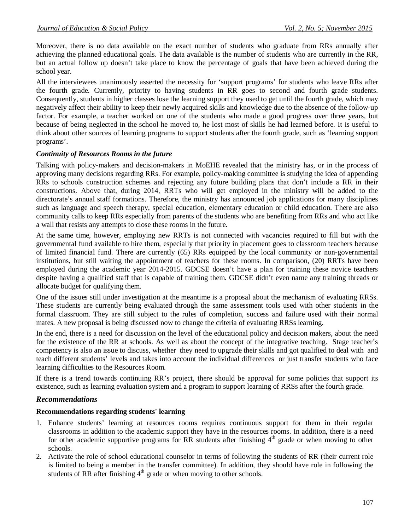Moreover, there is no data available on the exact number of students who graduate from RRs annually after achieving the planned educational goals. The data available is the number of students who are currently in the RR, but an actual follow up doesn't take place to know the percentage of goals that have been achieved during the school year.

All the interviewees unanimously asserted the necessity for 'support programs' for students who leave RRs after the fourth grade. Currently, priority to having students in RR goes to second and fourth grade students. Consequently, students in higher classes lose the learning support they used to get until the fourth grade, which may negatively affect their ability to keep their newly acquired skills and knowledge due to the absence of the follow-up factor. For example, a teacher worked on one of the students who made a good progress over three years, but because of being neglected in the school he moved to, he lost most of skills he had learned before. It is useful to think about other sources of learning programs to support students after the fourth grade, such as 'learning support programs'.

### *Continuity of Resources Rooms in the future*

Talking with policy-makers and decision-makers in MoEHE revealed that the ministry has, or in the process of approving many decisions regarding RRs. For example, policy-making committee is studying the idea of appending RRs to schools construction schemes and rejecting any future building plans that don't include a RR in their constructions. Above that, during 2014, RRTs who will get employed in the ministry will be added to the directorate's annual staff formations. Therefore, the ministry has announced job applications for many disciplines such as language and speech therapy, special education, elementary education or child education. There are also community calls to keep RRs especially from parents of the students who are benefiting from RRs and who act like a wall that resists any attempts to close these rooms in the future.

At the same time, however, employing new RRTs is not connected with vacancies required to fill but with the governmental fund available to hire them, especially that priority in placement goes to classroom teachers because of limited financial fund. There are currently (65) RRs equipped by the local community or non-governmental institutions, but still waiting the appointment of teachers for these rooms. In comparison, (20) RRTs have been employed during the academic year 2014-2015. GDCSE doesn't have a plan for training these novice teachers despite having a qualified staff that is capable of training them. GDCSE didn't even name any training threads or allocate budget for qualifying them.

One of the issues still under investigation at the meantime is a proposal about the mechanism of evaluating RRSs. These students are currently being evaluated through the same assessment tools used with other students in the formal classroom. They are still subject to the rules of completion, success and failure used with their normal mates. A new proposal is being discussed now to change the criteria of evaluating RRSs learning.

In the end, there is a need for discussion on the level of the educational policy and decision makers, about the need for the existence of the RR at schools. As well as about the concept of the integrative teaching. Stage teacher's competency is also an issue to discuss, whether they need to upgrade their skills and got qualified to deal with and teach different students' levels and takes into account the individual differences or just transfer students who face learning difficulties to the Resources Room.

If there is a trend towards continuing RR's project, there should be approval for some policies that support its existence, such as learning evaluation system and a program to support learning of RRSs after the fourth grade.

### *Recommendations*

#### **Recommendations regarding students' learning**

- 1. Enhance students' learning at resources rooms requires continuous support for them in their regular classrooms in addition to the academic support they have in the resources rooms. In addition, there is a need for other academic supportive programs for RR students after finishing  $4<sup>th</sup>$  grade or when moving to other schools.
- 2. Activate the role of school educational counselor in terms of following the students of RR (their current role is limited to being a member in the transfer committee). In addition, they should have role in following the students of RR after finishing  $4<sup>th</sup>$  grade or when moving to other schools.